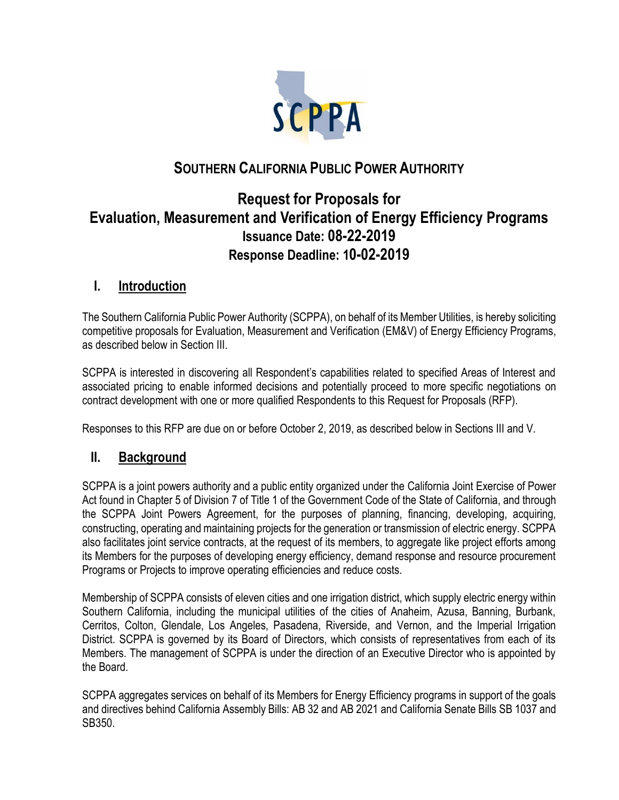

# **SOUTHERN CALIFORNIA PUBLIC POWER AUTHORITY**

# **Request for Proposals for Evaluation, Measurement and Verification of Energy Efficiency Programs Issuance Date: 08-22-2019 Response Deadline: 10-02-2019**

## **I. Introduction**

The Southern California Public Power Authority (SCPPA), on behalf of its Member Utilities, is hereby soliciting competitive proposals for Evaluation, Measurement and Verification (EM&V) of Energy Efficiency Programs, as described below in Section III.

SCPPA is interested in discovering all Respondent's capabilities related to specified Areas of Interest and associated pricing to enable informed decisions and potentially proceed to more specific negotiations on contract development with one or more qualified Respondents to this Request for Proposals (RFP).

Responses to this RFP are due on or before October 2, 2019, as described below in Sections III and V.

### **II. Background**

SCPPA is a joint powers authority and a public entity organized under the California Joint Exercise of Power Act found in Chapter 5 of Division 7 of Title 1 of the Government Code of the State of California, and through the SCPPA Joint Powers Agreement, for the purposes of planning, financing, developing, acquiring, constructing, operating and maintaining projects for the generation or transmission of electric energy. SCPPA also facilitates joint service contracts, at the request of its members, to aggregate like project efforts among its Members for the purposes of developing energy efficiency, demand response and resource procurement Programs or Projects to improve operating efficiencies and reduce costs.

Membership of SCPPA consists of eleven cities and one irrigation district, which supply electric energy within Southern California, including the municipal utilities of the cities of Anaheim, Azusa, Banning, Burbank, Cerritos, Colton, Glendale, Los Angeles, Pasadena, Riverside, and Vernon, and the Imperial Irrigation District. SCPPA is governed by its Board of Directors, which consists of representatives from each of its Members. The management of SCPPA is under the direction of an Executive Director who is appointed by the Board.

SCPPA aggregates services on behalf of its Members for Energy Efficiency programs in support of the goals and directives behind California Assembly Bills: AB 32 and AB 2021 and California Senate Bills SB 1037 and SB350.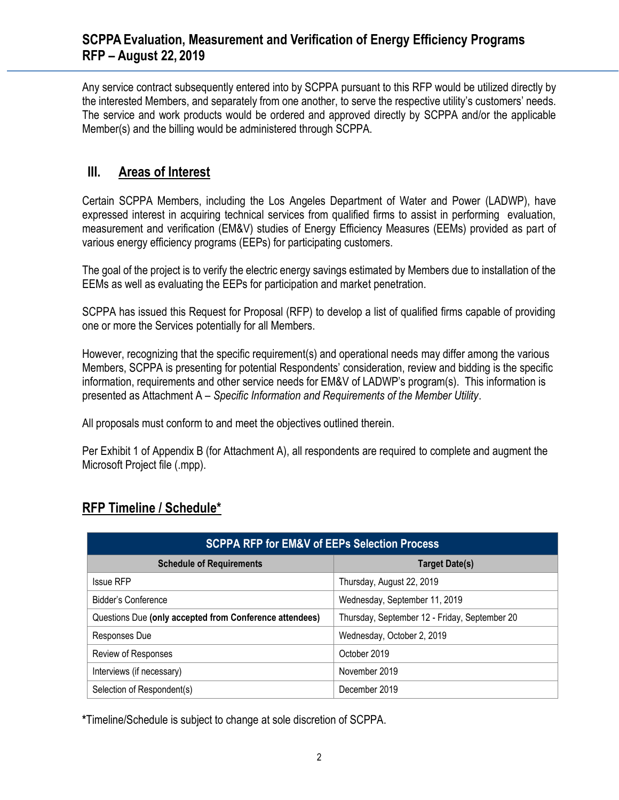Any service contract subsequently entered into by SCPPA pursuant to this RFP would be utilized directly by the interested Members, and separately from one another, to serve the respective utility's customers' needs. The service and work products would be ordered and approved directly by SCPPA and/or the applicable Member(s) and the billing would be administered through SCPPA.

## **III. Areas of Interest**

Certain SCPPA Members, including the Los Angeles Department of Water and Power (LADWP), have expressed interest in acquiring technical services from qualified firms to assist in performing evaluation, measurement and verification (EM&V) studies of Energy Efficiency Measures (EEMs) provided as part of various energy efficiency programs (EEPs) for participating customers.

The goal of the project is to verify the electric energy savings estimated by Members due to installation of the EEMs as well as evaluating the EEPs for participation and market penetration.

SCPPA has issued this Request for Proposal (RFP) to develop a list of qualified firms capable of providing one or more the Services potentially for all Members.

However, recognizing that the specific requirement(s) and operational needs may differ among the various Members, SCPPA is presenting for potential Respondents' consideration, review and bidding is the specific information, requirements and other service needs for EM&V of LADWP's program(s). This information is presented as Attachment A – *Specific Information and Requirements of the Member Utility*.

All proposals must conform to and meet the objectives outlined therein.

Per Exhibit 1 of Appendix B (for Attachment A), all respondents are required to complete and augment the Microsoft Project file (.mpp).

## **RFP Timeline / Schedule\***

| <b>SCPPA RFP for EM&amp;V of EEPs Selection Process</b> |                                               |
|---------------------------------------------------------|-----------------------------------------------|
| <b>Schedule of Requirements</b>                         | <b>Target Date(s)</b>                         |
| <b>Issue RFP</b>                                        | Thursday, August 22, 2019                     |
| Bidder's Conference                                     | Wednesday, September 11, 2019                 |
| Questions Due (only accepted from Conference attendees) | Thursday, September 12 - Friday, September 20 |
| Responses Due                                           | Wednesday, October 2, 2019                    |
| Review of Responses                                     | October 2019                                  |
| Interviews (if necessary)                               | November 2019                                 |
| Selection of Respondent(s)                              | December 2019                                 |

**\***Timeline/Schedule is subject to change at sole discretion of SCPPA.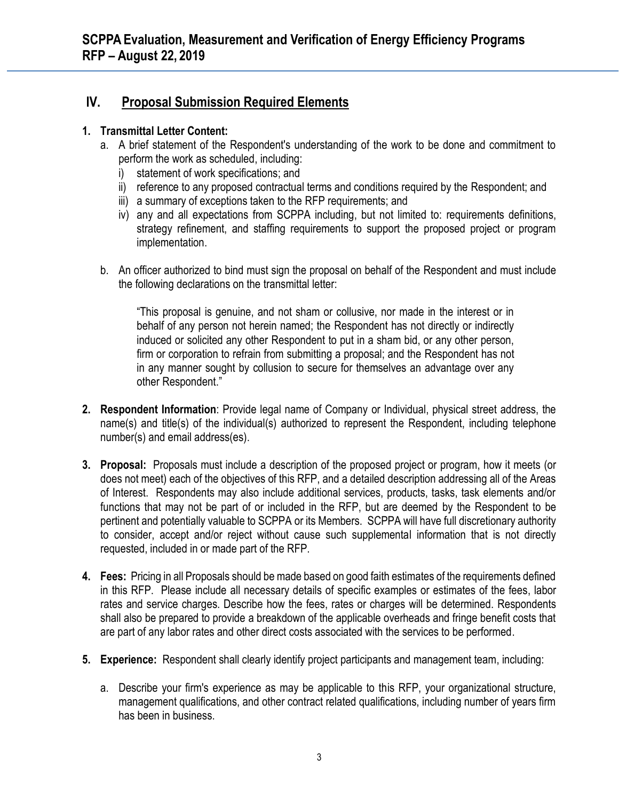## **IV. Proposal Submission Required Elements**

#### **1. Transmittal Letter Content:**

- a. A brief statement of the Respondent's understanding of the work to be done and commitment to perform the work as scheduled, including:
	- i) statement of work specifications; and
	- ii) reference to any proposed contractual terms and conditions required by the Respondent; and
	- iii) a summary of exceptions taken to the RFP requirements; and
	- iv) any and all expectations from SCPPA including, but not limited to: requirements definitions, strategy refinement, and staffing requirements to support the proposed project or program implementation.
- b. An officer authorized to bind must sign the proposal on behalf of the Respondent and must include the following declarations on the transmittal letter:

"This proposal is genuine, and not sham or collusive, nor made in the interest or in behalf of any person not herein named; the Respondent has not directly or indirectly induced or solicited any other Respondent to put in a sham bid, or any other person, firm or corporation to refrain from submitting a proposal; and the Respondent has not in any manner sought by collusion to secure for themselves an advantage over any other Respondent."

- **2. Respondent Information**: Provide legal name of Company or Individual, physical street address, the name(s) and title(s) of the individual(s) authorized to represent the Respondent, including telephone number(s) and email address(es).
- **3. Proposal:** Proposals must include a description of the proposed project or program, how it meets (or does not meet) each of the objectives of this RFP, and a detailed description addressing all of the Areas of Interest. Respondents may also include additional services, products, tasks, task elements and/or functions that may not be part of or included in the RFP, but are deemed by the Respondent to be pertinent and potentially valuable to SCPPA or its Members. SCPPA will have full discretionary authority to consider, accept and/or reject without cause such supplemental information that is not directly requested, included in or made part of the RFP.
- **4. Fees:** Pricing in all Proposals should be made based on good faith estimates of the requirements defined in this RFP. Please include all necessary details of specific examples or estimates of the fees, labor rates and service charges. Describe how the fees, rates or charges will be determined. Respondents shall also be prepared to provide a breakdown of the applicable overheads and fringe benefit costs that are part of any labor rates and other direct costs associated with the services to be performed.
- **5. Experience:** Respondent shall clearly identify project participants and management team, including:
	- a. Describe your firm's experience as may be applicable to this RFP, your organizational structure, management qualifications, and other contract related qualifications, including number of years firm has been in business.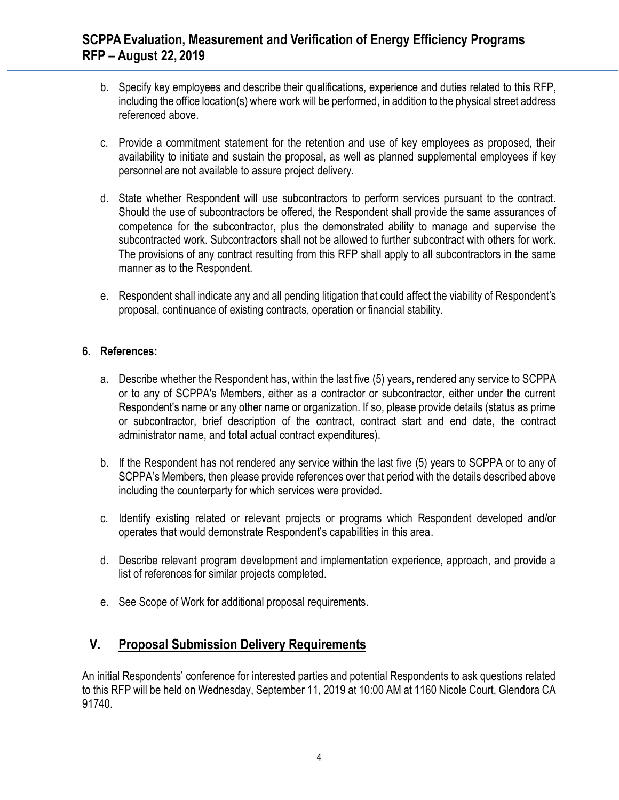- b. Specify key employees and describe their qualifications, experience and duties related to this RFP, including the office location(s) where work will be performed, in addition to the physical street address referenced above.
- c. Provide a commitment statement for the retention and use of key employees as proposed, their availability to initiate and sustain the proposal, as well as planned supplemental employees if key personnel are not available to assure project delivery.
- d. State whether Respondent will use subcontractors to perform services pursuant to the contract. Should the use of subcontractors be offered, the Respondent shall provide the same assurances of competence for the subcontractor, plus the demonstrated ability to manage and supervise the subcontracted work. Subcontractors shall not be allowed to further subcontract with others for work. The provisions of any contract resulting from this RFP shall apply to all subcontractors in the same manner as to the Respondent.
- e. Respondent shall indicate any and all pending litigation that could affect the viability of Respondent's proposal, continuance of existing contracts, operation or financial stability.

#### **6. References:**

- a. Describe whether the Respondent has, within the last five (5) years, rendered any service to SCPPA or to any of SCPPA's Members, either as a contractor or subcontractor, either under the current Respondent's name or any other name or organization. If so, please provide details (status as prime or subcontractor, brief description of the contract, contract start and end date, the contract administrator name, and total actual contract expenditures).
- b. If the Respondent has not rendered any service within the last five (5) years to SCPPA or to any of SCPPA's Members, then please provide references over that period with the details described above including the counterparty for which services were provided.
- c. Identify existing related or relevant projects or programs which Respondent developed and/or operates that would demonstrate Respondent's capabilities in this area.
- d. Describe relevant program development and implementation experience, approach, and provide a list of references for similar projects completed.
- e. See Scope of Work for additional proposal requirements.

## **V. Proposal Submission Delivery Requirements**

An initial Respondents' conference for interested parties and potential Respondents to ask questions related to this RFP will be held on Wednesday, September 11, 2019 at 10:00 AM at 1160 Nicole Court, Glendora CA 91740.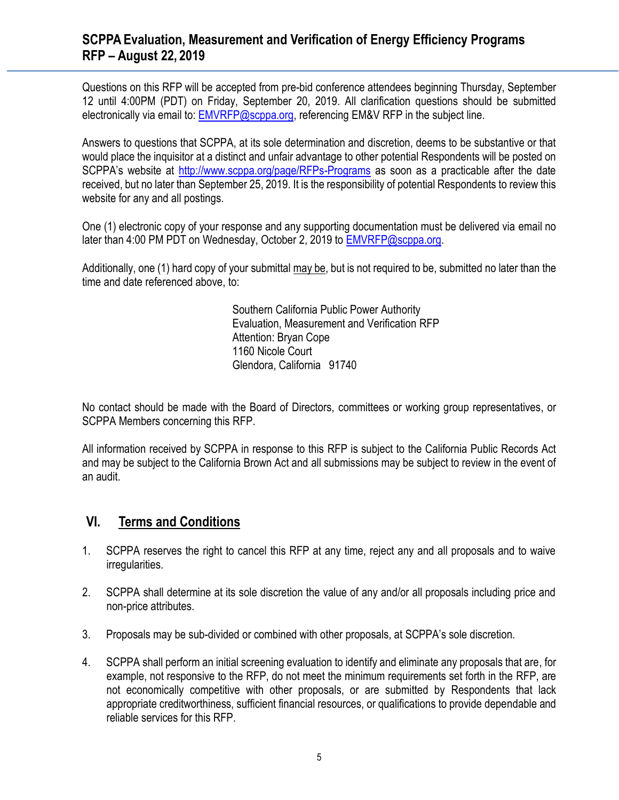Questions on this RFP will be accepted from pre-bid conference attendees beginning Thursday, September 12 until 4:00PM (PDT) on Friday, September 20, 2019. All clarification questions should be submitted electronically via email to: [EMVRFP@scppa.org,](mailto:EMVRFP@scppa.org) referencing EM&V RFP in the subject line.

Answers to questions that SCPPA, at its sole determination and discretion, deems to be substantive or that would place the inquisitor at a distinct and unfair advantage to other potential Respondents will be posted on SCPPA's website at <http://www.scppa.org/page/RFPs-Programs> as soon as a practicable after the date received, but no later than September 25, 2019. It is the responsibility of potential Respondents to review this website for any and all postings.

One (1) electronic copy of your response and any supporting documentation must be delivered via email no later than 4:00 PM PDT on Wednesday, October 2, 2019 to [EMVRFP@scppa.org.](mailto:EMVRFP@scppa.org)

Additionally, one (1) hard copy of your submittal may be, but is not required to be, submitted no later than the time and date referenced above, to:

> Southern California Public Power Authority Evaluation, Measurement and Verification RFP Attention: Bryan Cope 1160 Nicole Court Glendora, California 91740

No contact should be made with the Board of Directors, committees or working group representatives, or SCPPA Members concerning this RFP.

All information received by SCPPA in response to this RFP is subject to the California Public Records Act and may be subject to the California Brown Act and all submissions may be subject to review in the event of an audit.

### **VI. Terms and Conditions**

- 1. SCPPA reserves the right to cancel this RFP at any time, reject any and all proposals and to waive irregularities.
- 2. SCPPA shall determine at its sole discretion the value of any and/or all proposals including price and non-price attributes.
- 3. Proposals may be sub-divided or combined with other proposals, at SCPPA's sole discretion.
- 4. SCPPA shall perform an initial screening evaluation to identify and eliminate any proposals that are, for example, not responsive to the RFP, do not meet the minimum requirements set forth in the RFP, are not economically competitive with other proposals, or are submitted by Respondents that lack appropriate creditworthiness, sufficient financial resources, or qualifications to provide dependable and reliable services for this RFP.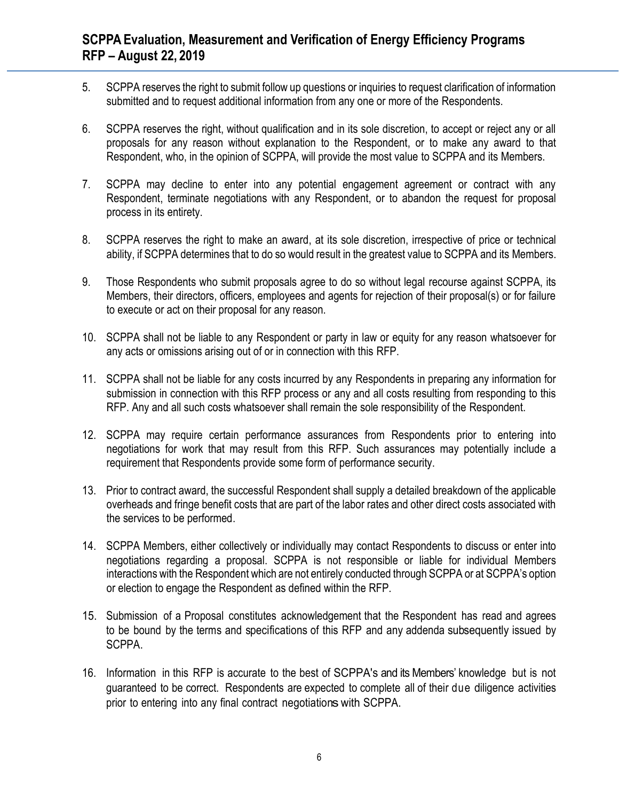- 5. SCPPA reserves the right to submit follow up questions or inquiries to request clarification of information submitted and to request additional information from any one or more of the Respondents.
- 6. SCPPA reserves the right, without qualification and in its sole discretion, to accept or reject any or all proposals for any reason without explanation to the Respondent, or to make any award to that Respondent, who, in the opinion of SCPPA, will provide the most value to SCPPA and its Members.
- 7. SCPPA may decline to enter into any potential engagement agreement or contract with any Respondent, terminate negotiations with any Respondent, or to abandon the request for proposal process in its entirety.
- 8. SCPPA reserves the right to make an award, at its sole discretion, irrespective of price or technical ability, if SCPPA determines that to do so would result in the greatest value to SCPPA and its Members.
- 9. Those Respondents who submit proposals agree to do so without legal recourse against SCPPA, its Members, their directors, officers, employees and agents for rejection of their proposal(s) or for failure to execute or act on their proposal for any reason.
- 10. SCPPA shall not be liable to any Respondent or party in law or equity for any reason whatsoever for any acts or omissions arising out of or in connection with this RFP.
- 11. SCPPA shall not be liable for any costs incurred by any Respondents in preparing any information for submission in connection with this RFP process or any and all costs resulting from responding to this RFP. Any and all such costs whatsoever shall remain the sole responsibility of the Respondent.
- 12. SCPPA may require certain performance assurances from Respondents prior to entering into negotiations for work that may result from this RFP. Such assurances may potentially include a requirement that Respondents provide some form of performance security.
- 13. Prior to contract award, the successful Respondent shall supply a detailed breakdown of the applicable overheads and fringe benefit costs that are part of the labor rates and other direct costs associated with the services to be performed.
- 14. SCPPA Members, either collectively or individually may contact Respondents to discuss or enter into negotiations regarding a proposal. SCPPA is not responsible or liable for individual Members interactions with the Respondent which are not entirely conducted through SCPPA or at SCPPA's option or election to engage the Respondent as defined within the RFP.
- 15. Submission of a Proposal constitutes acknowledgement that the Respondent has read and agrees to be bound by the terms and specifications of this RFP and any addenda subsequently issued by SCPPA.
- 16. Information in this RFP is accurate to the best of SCPPA's and its Members' knowledge but is not guaranteed to be correct. Respondents are expected to complete all of their due diligence activities prior to entering into any final contract negotiations with SCPPA.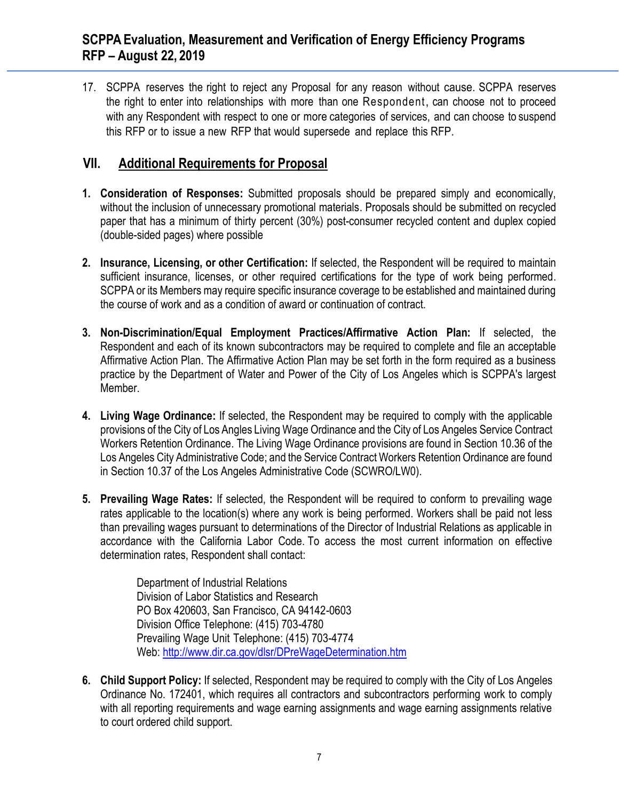17. SCPPA reserves the right to reject any Proposal for any reason without cause. SCPPA reserves the right to enter into relationships with more than one Respondent, can choose not to proceed with any Respondent with respect to one or more categories of services, and can choose to suspend this RFP or to issue a new RFP that would supersede and replace this RFP.

## **VII. Additional Requirements for Proposal**

- **1. Consideration of Responses:** Submitted proposals should be prepared simply and economically, without the inclusion of unnecessary promotional materials. Proposals should be submitted on recycled paper that has a minimum of thirty percent (30%) post-consumer recycled content and duplex copied (double-sided pages) where possible
- **2. Insurance, Licensing, or other Certification:** If selected, the Respondent will be required to maintain sufficient insurance, licenses, or other required certifications for the type of work being performed. SCPPA or its Members may require specific insurance coverage to be established and maintained during the course of work and as a condition of award or continuation of contract.
- **3. Non-Discrimination/Equal Employment Practices/Affirmative Action Plan:** If selected, the Respondent and each of its known subcontractors may be required to complete and file an acceptable Affirmative Action Plan. The Affirmative Action Plan may be set forth in the form required as a business practice by the Department of Water and Power of the City of Los Angeles which is SCPPA's largest Member.
- **4. Living Wage Ordinance:** If selected, the Respondent may be required to comply with the applicable provisions of the City of Los Angles Living Wage Ordinance and the City of Los Angeles Service Contract Workers Retention Ordinance. The Living Wage Ordinance provisions are found in Section 10.36 of the Los Angeles City Administrative Code; and the Service Contract Workers Retention Ordinance are found in Section 10.37 of the Los Angeles Administrative Code (SCWRO/LW0).
- **5. Prevailing Wage Rates:** If selected, the Respondent will be required to conform to prevailing wage rates applicable to the location(s) where any work is being performed. Workers shall be paid not less than prevailing wages pursuant to determinations of the Director of Industrial Relations as applicable in accordance with the California Labor Code. To access the most current information on effective determination rates, Respondent shall contact:

Department of Industrial Relations Division of Labor Statistics and Research PO Box 420603, San Francisco, CA 94142-0603 Division Office Telephone: (415) 703-4780 Prevailing Wage Unit Telephone: (415) 703-4774 Web:<http://www.dir.ca.gov/dlsr/DPreWageDetermination.htm>

**6. Child Support Policy:** If selected, Respondent may be required to comply with the City of Los Angeles Ordinance No. 172401, which requires all contractors and subcontractors performing work to comply with all reporting requirements and wage earning assignments and wage earning assignments relative to court ordered child support.